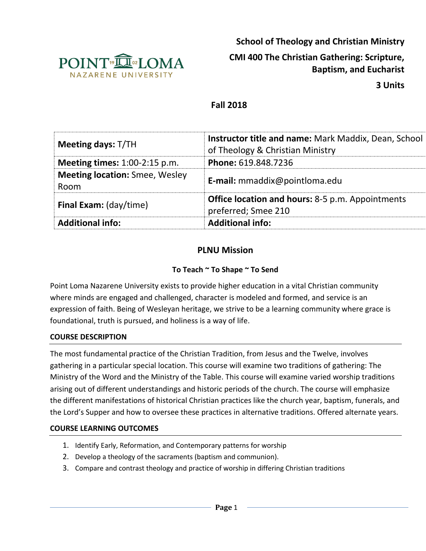

**School of Theology and Christian Ministry**

# **CMI 400 The Christian Gathering: Scripture, Baptism, and Eucharist**

**3 Units**

# **Fall 2018**

| <b>Meeting days: T/TH</b>                     | <b>Instructor title and name: Mark Maddix, Dean, School</b><br>of Theology & Christian Ministry |  |  |
|-----------------------------------------------|-------------------------------------------------------------------------------------------------|--|--|
| <b>Meeting times:</b> 1:00-2:15 p.m.          | Phone: 619.848.7236                                                                             |  |  |
| <b>Meeting location: Smee, Wesley</b><br>Room | E-mail: mmaddix@pointloma.edu                                                                   |  |  |
| Final Exam: (day/time)                        | <b>Office location and hours:</b> 8-5 p.m. Appointments<br>preferred; Smee 210                  |  |  |
| <b>Additional info:</b>                       | <b>Additional info:</b>                                                                         |  |  |

# **PLNU Mission**

### **To Teach ~ To Shape ~ To Send**

Point Loma Nazarene University exists to provide higher education in a vital Christian community where minds are engaged and challenged, character is modeled and formed, and service is an expression of faith. Being of Wesleyan heritage, we strive to be a learning community where grace is foundational, truth is pursued, and holiness is a way of life.

#### **COURSE DESCRIPTION**

The most fundamental practice of the Christian Tradition, from Jesus and the Twelve, involves gathering in a particular special location. This course will examine two traditions of gathering: The Ministry of the Word and the Ministry of the Table. This course will examine varied worship traditions arising out of different understandings and historic periods of the church. The course will emphasize the different manifestations of historical Christian practices like the church year, baptism, funerals, and the Lord's Supper and how to oversee these practices in alternative traditions. Offered alternate years.

#### **COURSE LEARNING OUTCOMES**

- 1. Identify Early, Reformation, and Contemporary patterns for worship
- 2. Develop a theology of the sacraments (baptism and communion).
- 3. Compare and contrast theology and practice of worship in differing Christian traditions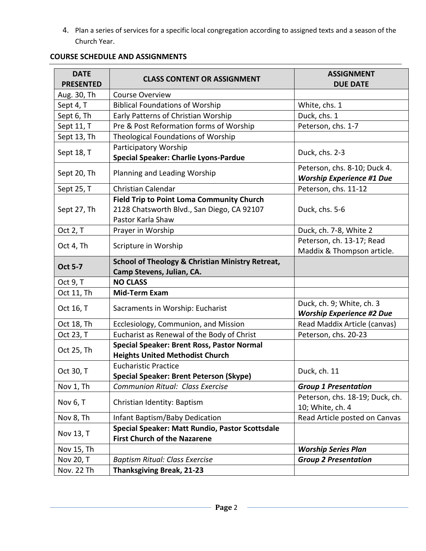4. Plan a series of services for a specific local congregation according to assigned texts and a season of the Church Year.

| <b>DATE</b><br><b>PRESENTED</b> | <b>CLASS CONTENT OR ASSIGNMENT</b>                                                          | <b>ASSIGNMENT</b><br><b>DUE DATE</b>                             |  |
|---------------------------------|---------------------------------------------------------------------------------------------|------------------------------------------------------------------|--|
| Aug. 30, Th                     | <b>Course Overview</b>                                                                      |                                                                  |  |
| Sept 4, T                       | <b>Biblical Foundations of Worship</b>                                                      | White, chs. 1                                                    |  |
| Sept 6, Th                      | Early Patterns of Christian Worship                                                         | Duck, chs. 1                                                     |  |
| Sept 11, T                      | Pre & Post Reformation forms of Worship                                                     | Peterson, chs. 1-7                                               |  |
| Sept 13, Th                     | Theological Foundations of Worship                                                          |                                                                  |  |
| Sept 18, T                      | Participatory Worship<br><b>Special Speaker: Charlie Lyons-Pardue</b>                       | Duck, chs. 2-3                                                   |  |
| Sept 20, Th                     | Planning and Leading Worship                                                                | Peterson, chs. 8-10; Duck 4.<br><b>Worship Experience #1 Due</b> |  |
| Sept 25, T                      | <b>Christian Calendar</b>                                                                   | Peterson, chs. 11-12                                             |  |
|                                 | <b>Field Trip to Point Loma Community Church</b>                                            |                                                                  |  |
| Sept 27, Th                     | 2128 Chatsworth Blvd., San Diego, CA 92107<br>Pastor Karla Shaw                             | Duck, chs. 5-6                                                   |  |
| Oct 2, T                        | Prayer in Worship                                                                           | Duck, ch. 7-8, White 2                                           |  |
| Oct 4, Th                       | Scripture in Worship                                                                        | Peterson, ch. 13-17; Read<br>Maddix & Thompson article.          |  |
| <b>Oct 5-7</b>                  | <b>School of Theology &amp; Christian Ministry Retreat,</b><br>Camp Stevens, Julian, CA.    |                                                                  |  |
| Oct 9, T                        | <b>NO CLASS</b>                                                                             |                                                                  |  |
| Oct 11, Th                      | <b>Mid-Term Exam</b>                                                                        |                                                                  |  |
| Oct 16, T                       | Sacraments in Worship: Eucharist                                                            | Duck, ch. 9; White, ch. 3<br><b>Worship Experience #2 Due</b>    |  |
| Oct 18, Th                      | Ecclesiology, Communion, and Mission                                                        | Read Maddix Article (canvas)                                     |  |
| Oct 23, T                       | Eucharist as Renewal of the Body of Christ                                                  | Peterson, chs. 20-23                                             |  |
| Oct 25, Th                      | <b>Special Speaker: Brent Ross, Pastor Normal</b><br><b>Heights United Methodist Church</b> |                                                                  |  |
| Oct 30, T                       | <b>Eucharistic Practice</b><br><b>Special Speaker: Brent Peterson (Skype)</b>               | Duck, ch. 11                                                     |  |
| Nov 1, Th                       | Communion Ritual: Class Exercise                                                            | <b>Group 1 Presentation</b>                                      |  |
| Nov 6, T                        | Christian Identity: Baptism                                                                 | Peterson, chs. 18-19; Duck, ch.<br>10; White, ch. 4              |  |
| Nov 8, Th                       | Infant Baptism/Baby Dedication                                                              | Read Article posted on Canvas                                    |  |
| Nov 13, T                       | Special Speaker: Matt Rundio, Pastor Scottsdale<br><b>First Church of the Nazarene</b>      |                                                                  |  |
| Nov 15, Th                      |                                                                                             | <b>Worship Series Plan</b>                                       |  |
| Nov 20, T                       | <b>Baptism Ritual: Class Exercise</b>                                                       | <b>Group 2 Presentation</b>                                      |  |
| Nov. 22 Th                      | <b>Thanksgiving Break, 21-23</b>                                                            |                                                                  |  |

#### **COURSE SCHEDULE AND ASSIGNMENTS**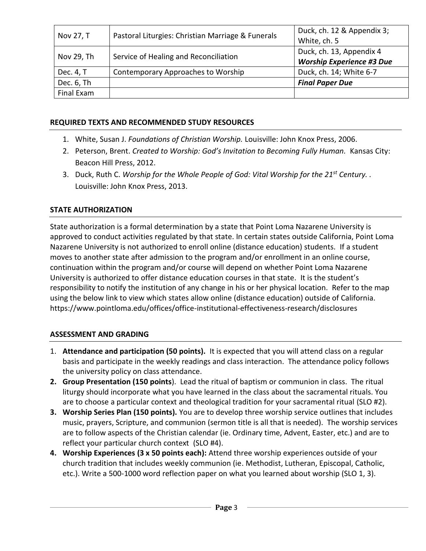| Nov 27, T  | Pastoral Liturgies: Christian Marriage & Funerals | Duck, ch. 12 & Appendix 3;<br>White, ch. 5                   |
|------------|---------------------------------------------------|--------------------------------------------------------------|
| Nov 29, Th | Service of Healing and Reconciliation             | Duck, ch. 13, Appendix 4<br><b>Worship Experience #3 Due</b> |
| Dec. 4, T  | Contemporary Approaches to Worship                | Duck, ch. 14; White 6-7                                      |
| Dec. 6, Th |                                                   | <b>Final Paper Due</b>                                       |
| Final Exam |                                                   |                                                              |

#### **REQUIRED TEXTS AND RECOMMENDED STUDY RESOURCES**

- 1. White, Susan J. *Foundations of Christian Worship.* Louisville: John Knox Press, 2006.
- 2. Peterson, Brent. *Created to Worship: God's Invitation to Becoming Fully Human.* Kansas City: Beacon Hill Press, 2012.
- 3. Duck, Ruth C. *Worship for the Whole People of God: Vital Worship for the 21st Century. .*  Louisville: John Knox Press, 2013.

### **STATE AUTHORIZATION**

State authorization is a formal determination by a state that Point Loma Nazarene University is approved to conduct activities regulated by that state. In certain states outside California, Point Loma Nazarene University is not authorized to enroll online (distance education) students. If a student moves to another state after admission to the program and/or enrollment in an online course, continuation within the program and/or course will depend on whether Point Loma Nazarene University is authorized to offer distance education courses in that state. It is the student's responsibility to notify the institution of any change in his or her physical location. Refer to the map using the below link to view which states allow online (distance education) outside of California. <https://www.pointloma.edu/offices/office-institutional-effectiveness-research/disclosures>

# **ASSESSMENT AND GRADING**

- 1. **Attendance and participation (50 points).** It is expected that you will attend class on a regular basis and participate in the weekly readings and class interaction. The attendance policy follows the university policy on class attendance.
- **2. Group Presentation (150 points**). Lead the ritual of baptism or communion in class. The ritual liturgy should incorporate what you have learned in the class about the sacramental rituals. You are to choose a particular context and theological tradition for your sacramental ritual (SLO #2).
- **3. Worship Series Plan (150 points).** You are to develop three worship service outlines that includes music, prayers, Scripture, and communion (sermon title is all that is needed). The worship services are to follow aspects of the Christian calendar (ie. Ordinary time, Advent, Easter, etc.) and are to reflect your particular church context(SLO #4).
- **4. Worship Experiences (3 x 50 points each):** Attend three worship experiences outside of your church tradition that includes weekly communion (ie. Methodist, Lutheran, Episcopal, Catholic, etc.). Write a 500-1000 word reflection paper on what you learned about worship (SLO 1, 3).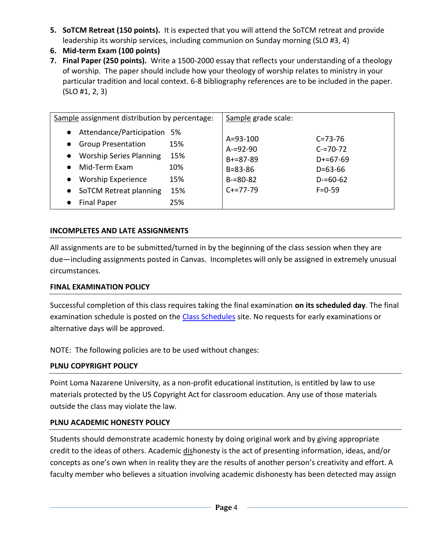- **5. SoTCM Retreat (150 points).** It is expected that you will attend the SoTCM retreat and provide leadership its worship services, including communion on Sunday morning (SLO #3, 4)
- **6. Mid-term Exam (100 points)**
- **7. Final Paper (250 points).** Write a 1500-2000 essay that reflects your understanding of a theology of worship. The paper should include how your theology of worship relates to ministry in your particular tradition and local context. 6-8 bibliography references are to be included in the paper. (SLO #1, 2, 3)

| Sample assignment distribution by percentage:                                                                                                                                                                                                               |                                        | Sample grade scale:                                                                           |                                                                                                  |
|-------------------------------------------------------------------------------------------------------------------------------------------------------------------------------------------------------------------------------------------------------------|----------------------------------------|-----------------------------------------------------------------------------------------------|--------------------------------------------------------------------------------------------------|
| Attendance/Participation 5%<br>$\bullet$<br><b>Group Presentation</b><br>$\bullet$<br><b>Worship Series Planning</b><br>$\bullet$<br>Mid-Term Fxam<br>$\bullet$<br><b>Worship Experience</b><br>$\bullet$<br>• SoTCM Retreat planning<br><b>Final Paper</b> | 15%<br>15%<br>10%<br>15%<br>15%<br>25% | $A = 93 - 100$<br>$A = 92 - 90$<br>$B+=87-89$<br>$B = 83 - 86$<br>$B = 80 - 82$<br>$C+=77-79$ | $C = 73 - 76$<br>$C = 70 - 72$<br>$D+ = 67-69$<br>$D = 63 - 66$<br>$D = 60 - 62$<br>$F = 0 - 59$ |

### **INCOMPLETES AND LATE ASSIGNMENTS**

All assignments are to be submitted/turned in by the beginning of the class session when they are due—including assignments posted in Canvas. Incompletes will only be assigned in extremely unusual circumstances.

### **FINAL EXAMINATION POLICY**

Successful completion of this class requires taking the final examination **on its scheduled day**. The final examination schedule is posted on the [Class Schedules](http://www.pointloma.edu/experience/academics/class-schedules) site. No requests for early examinations or alternative days will be approved.

NOTE: The following policies are to be used without changes:

# **PLNU COPYRIGHT POLICY**

Point Loma Nazarene University, as a non-profit educational institution, is entitled by law to use materials protected by the US Copyright Act for classroom education. Any use of those materials outside the class may violate the law.

### **PLNU ACADEMIC HONESTY POLICY**

Students should demonstrate academic honesty by doing original work and by giving appropriate credit to the ideas of others. Academic dishonesty is the act of presenting information, ideas, and/or concepts as one's own when in reality they are the results of another person's creativity and effort. A faculty member who believes a situation involving academic dishonesty has been detected may assign